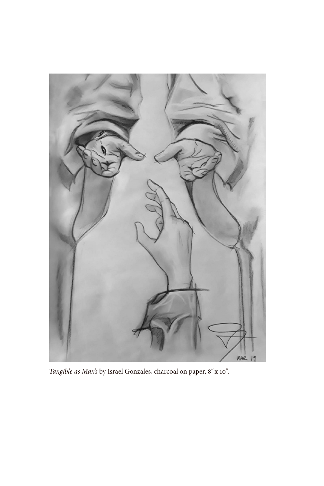

*Tangible as Man's* by Israel Gonzales, charcoal on paper, 8*"* x 10*"*.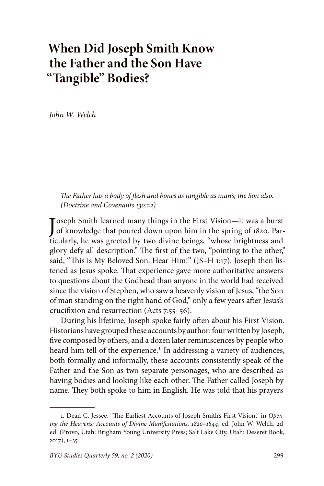## **When Did Joseph Smith Know the Father and the Son Have "Tangible" Bodies?**

*John W. Welch*

*The Father has a body of flesh and bones as tangible as man's; the Son also. (Doctrine and Covenants 130:22)*

Joseph Smith learned many things in the First Vision—it was a burst<br>of knowledge that poured down upon him in the spring of 1820. Parof knowledge that poured down upon him in the spring of 1820. Particularly, he was greeted by two divine beings, "whose brightness and glory defy all description." The first of the two, "pointing to the other," said, "This is My Beloved Son. Hear Him!" (JS–H 1:17). Joseph then listened as Jesus spoke. That experience gave more authoritative answers to questions about the Godhead than anyone in the world had received since the vision of Stephen, who saw a heavenly vision of Jesus, "the Son of man standing on the right hand of God," only a few years after Jesus's crucifixion and resurrection (Acts 7:55–56).

During his lifetime, Joseph spoke fairly often about his First Vision. Historians have grouped these accounts by author: four written by Joseph, five composed by others, and a dozen later reminiscences by people who heard him tell of the experience.<sup>1</sup> In addressing a variety of audiences, both formally and informally, these accounts consistently speak of the Father and the Son as two separate personages, who are described as having bodies and looking like each other. The Father called Joseph by name. They both spoke to him in English. He was told that his prayers

<sup>1.</sup> Dean C. Jessee, "The Earliest Accounts of Joseph Smith's First Vision," in *Opening the Heavens: Accounts of Divine Manifestations, 1820–1844*, ed. John W. Welch, 2d ed. (Provo, Utah: Brigham Young University Press; Salt Lake City, Utah: Deseret Book, 2017), 1–35.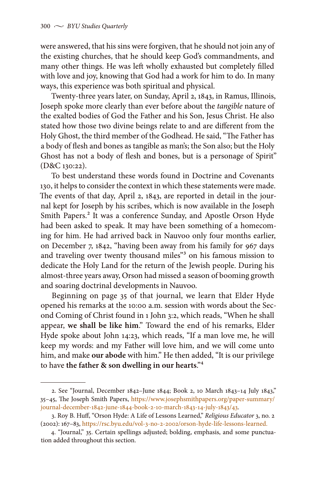were answered, that his sins were forgiven, that he should not join any of the existing churches, that he should keep God's commandments, and many other things. He was left wholly exhausted but completely filled with love and joy, knowing that God had a work for him to do. In many ways, this experience was both spiritual and physical.

Twenty-three years later, on Sunday, April 2, 1843, in Ramus, Illinois, Joseph spoke more clearly than ever before about the *tangible* nature of the exalted bodies of God the Father and his Son, Jesus Christ. He also stated how those two divine beings relate to and are different from the Holy Ghost, the third member of the Godhead. He said, "The Father has a body of flesh and bones as tangible as man's; the Son also; but the Holy Ghost has not a body of flesh and bones, but is a personage of Spirit" (D&C 130:22).

To best understand these words found in Doctrine and Covenants 130, it helps to consider the context in which these statements were made. The events of that day, April 2, 1843, are reported in detail in the journal kept for Joseph by his scribes, which is now available in the Joseph Smith Papers.<sup>2</sup> It was a conference Sunday, and Apostle Orson Hyde had been asked to speak. It may have been something of a homecoming for him. He had arrived back in Nauvoo only four months earlier, on December 7, 1842, "having been away from his family for 967 days and traveling over twenty thousand miles"<sup>3</sup> on his famous mission to dedicate the Holy Land for the return of the Jewish people. During his almost-three years away, Orson had missed a season of booming growth and soaring doctrinal developments in Nauvoo.

Beginning on page 35 of that journal, we learn that Elder Hyde opened his remarks at the 10:00 a.m. session with words about the Second Coming of Christ found in 1 John 3:2, which reads, "When he shall appear, **we shall be like him**." Toward the end of his remarks, Elder Hyde spoke about John 14:23, which reads, "If a man love me, he will keep my words: and my Father will love him, and we will come unto him, and make **our abode** with him." He then added, "It is our privilege to have **the father & son dwelling in our hearts**."4

<sup>2.</sup> See "Journal, December 1842–June 1844; Book 2, 10 March 1843–14 July 1843," 35–45, The Joseph Smith Papers, [https://www.josephsmithpapers.org/paper-summary/](https://www.josephsmithpapers.org/paper-summary/journal-december-1842-june-1844-book-2-10-march-1843-14-july-1843/43) [journal-december-1842-june-1844-book-2-10-march-1843-14-july-1843/43.](https://www.josephsmithpapers.org/paper-summary/journal-december-1842-june-1844-book-2-10-march-1843-14-july-1843/43)

<sup>3.</sup> Roy B. Huff, "Orson Hyde: A Life of Lessons Learned," *Religious Educator* 3, no. 2 (2002): 167–83, [https://rsc.byu.edu/vol-3-no-2-2002/orson-hyde-life-lessons-learned.](https://rsc.byu.edu/vol-3-no-2-2002/orson-hyde-life-lessons-learned)

<sup>4. &</sup>quot;Journal," 35. Certain spellings adjusted; bolding, emphasis, and some punctuation added throughout this section.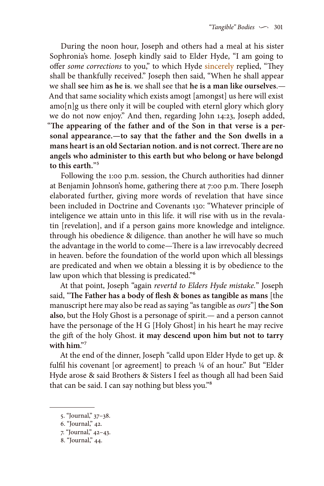During the noon hour, Joseph and others had a meal at his sister Sophronia's home. Joseph kindly said to Elder Hyde, "I am going to offer *some corrections* to you," to which Hyde sincerely replied, "They shall be thankfully received." Joseph then said, "When he shall appear we shall **see** him **as he is**. we shall see that **he is a man like ourselves**.— And that same sociality which exists amogt [amongst] us here will exist amo[n]g us there only it will be coupled with eternl glory which glory we do not now enjoy." And then, regarding John 14:23, Joseph added, "**The appearing of the father and of the Son in that verse is a personal appearance.—to say that the father and the Son dwells in a mans heart is an old Sectarian notion. and is not correct. There are no angels who administer to this earth but who belong or have belongd to this earth.**"5

Following the 1:00 p.m. session, the Church authorities had dinner at Benjamin Johnson's home, gathering there at 7:00 p.m. There Joseph elaborated further, giving more words of revelation that have since been included in Doctrine and Covenants 130: "Whatever principle of inteligence we attain unto in this life. it will rise with us in the revalatin [revelation], and if a person gains more knowledge and intelignce. through his obedience & diligence. than another he will have so much the advantage in the world to come—There is a law irrevocably decreed in heaven. before the foundation of the world upon which all blessings are predicated and when we obtain a blessing it is by obedience to the law upon which that blessing is predicated."<sup>6</sup>

At that point, Joseph "again *revertd to Elders Hyde mistake.*" Joseph said, "**The Father has a body of flesh & bones as tangible as mans** [the manuscript here may also be read as saying "as tangible as *ours*"] **the Son also**, but the Holy Ghost is a personage of spirit.— and a person cannot have the personage of the H G [Holy Ghost] in his heart he may recive the gift of the holy Ghost. **it may descend upon him but not to tarry with him**."7

At the end of the dinner, Joseph "calld upon Elder Hyde to get up. & fulfil his covenant [or agreement] to preach ¼ of an hour." But "Elder Hyde arose & said Brothers & Sisters I feel as though all had been Said that can be said. I can say nothing but bless you."8

<sup>5. &</sup>quot;Journal," 37–38.

<sup>6. &</sup>quot;Journal," 42.

<sup>7. &</sup>quot;Journal," 42–43.

<sup>8. &</sup>quot;Journal," 44.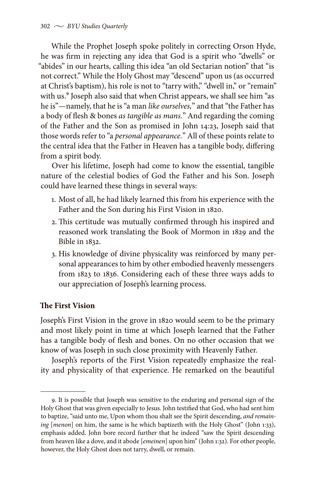While the Prophet Joseph spoke politely in correcting Orson Hyde, he was firm in rejecting any idea that God is a spirit who "dwells" or "abides" in our hearts, calling this idea "an old Sectarian notion" that "is not correct." While the Holy Ghost may "descend" upon us (as occurred at Christ's baptism), his role is not to "tarry with," "dwell in," or "remain" with us.<sup>9</sup> Joseph also said that when Christ appears, we shall see him "as he is"—namely, that he is "a man *like ourselves,*" and that "the Father has a body of flesh & bones *as tangible as mans.*" And regarding the coming of the Father and the Son as promised in John 14:23, Joseph said that those words refer to "a *personal appearance.*" All of these points relate to the central idea that the Father in Heaven has a tangible body, differing from a spirit body.

Over his lifetime, Joseph had come to know the essential, tangible nature of the celestial bodies of God the Father and his Son. Joseph could have learned these things in several ways:

- 1. Most of all, he had likely learned this from his experience with the Father and the Son during his First Vision in 1820.
- 2. This certitude was mutually confirmed through his inspired and reasoned work translating the Book of Mormon in 1829 and the Bible in 1832.
- 3. His knowledge of divine physicality was reinforced by many personal appearances to him by other embodied heavenly messengers from 1823 to 1836. Considering each of these three ways adds to our appreciation of Joseph's learning process.

## **The First Vision**

Joseph's First Vision in the grove in 1820 would seem to be the primary and most likely point in time at which Joseph learned that the Father has a tangible body of flesh and bones. On no other occasion that we know of was Joseph in such close proximity with Heavenly Father.

Joseph's reports of the First Vision repeatedly emphasize the reality and physicality of that experience. He remarked on the beautiful

<sup>9.</sup> It is possible that Joseph was sensitive to the enduring and personal sign of the Holy Ghost that was given especially to Jesus. John testified that God, who had sent him to baptize, "said unto me, Upon whom thou shalt see the Spirit descending, *and remaining* [*menon*] on him, the same is he which baptizeth with the Holy Ghost" (John 1:33), emphasis added. John bore record further that he indeed "saw the Spirit descending from heaven like a dove, and it abode [*emeinen*] upon him" (John 1:32). For other people, however, the Holy Ghost does not tarry, dwell, or remain.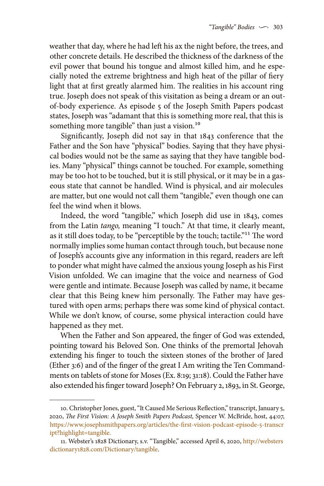weather that day, where he had left his ax the night before, the trees, and other concrete details. He described the thickness of the darkness of the evil power that bound his tongue and almost killed him, and he especially noted the extreme brightness and high heat of the pillar of fiery light that at first greatly alarmed him. The realities in his account ring true. Joseph does not speak of this visitation as being a dream or an outof-body experience. As episode 5 of the Joseph Smith Papers podcast states, Joseph was "adamant that this is something more real, that this is something more tangible" than just a vision.<sup>10</sup>

Significantly, Joseph did not say in that 1843 conference that the Father and the Son have "physical" bodies. Saying that they have physical bodies would not be the same as saying that they have tangible bodies. Many "physical" things cannot be touched. For example, something may be too hot to be touched, but it is still physical, or it may be in a gaseous state that cannot be handled. Wind is physical, and air molecules are matter, but one would not call them "tangible," even though one can feel the wind when it blows.

Indeed, the word "tangible," which Joseph did use in 1843, comes from the Latin *tango,* meaning "I touch." At that time, it clearly meant, as it still does today, to be "perceptible by the touch; tactile."11 The word normally implies some human contact through touch, but because none of Joseph's accounts give any information in this regard, readers are left to ponder what might have calmed the anxious young Joseph as his First Vision unfolded. We can imagine that the voice and nearness of God were gentle and intimate. Because Joseph was called by name, it became clear that this Being knew him personally. The Father may have gestured with open arms; perhaps there was some kind of physical contact. While we don't know, of course, some physical interaction could have happened as they met.

When the Father and Son appeared, the finger of God was extended, pointing toward his Beloved Son. One thinks of the premortal Jehovah extending his finger to touch the sixteen stones of the brother of Jared (Ether 3:6) and of the finger of the great I Am writing the Ten Commandments on tablets of stone for Moses (Ex. 8:19; 31:18). Could the Father have also extended his finger toward Joseph? On February 2, 1893, in St. George,

<sup>10.</sup> Christopher Jones, guest, "It Caused Me Serious Reflection," transcript, January 5, 2020, *The First Vision: A Joseph Smith Papers Podcast,* Spencer W. McBride, host, 44:07, [https://www.josephsmithpapers.org/articles/the-first-vision-podcast-episode-5-transcr](https://www.josephsmithpapers.org/articles/the-first-vision-podcast-episode-5-transcript?highlight=tangible) [ipt?highlight=tangible](https://www.josephsmithpapers.org/articles/the-first-vision-podcast-episode-5-transcript?highlight=tangible).

<sup>11.</sup> Webster's 1828 Dictionary, s.v. "Tangible," accessed April 6, 2020, [http://websters](http://webstersdictionary1828.com/Dictionary/tangible) [dictionary1828.com/Dictionary/tangible](http://webstersdictionary1828.com/Dictionary/tangible).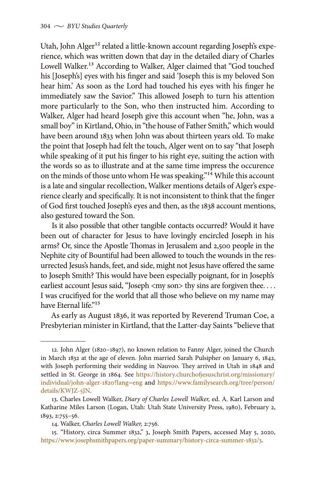Utah, John Alger<sup>12</sup> related a little-known account regarding Joseph's experience, which was written down that day in the detailed diary of Charles Lowell Walker.<sup>13</sup> According to Walker, Alger claimed that "God touched his [Joseph's] eyes with his finger and said 'Joseph this is my beloved Son hear him.' As soon as the Lord had touched his eyes with his finger he immediately saw the Savior." This allowed Joseph to turn his attention more particularly to the Son, who then instructed him. According to Walker, Alger had heard Joseph give this account when "he, John, was a small boy" in Kirtland, Ohio, in "the house of Father Smith," which would have been around 1833 when John was about thirteen years old. To make the point that Joseph had felt the touch, Alger went on to say "that Joseph while speaking of it put his finger to his right eye, suiting the action with the words so as to illustrate and at the same time impress the occurence on the minds of those unto whom He was speaking."<sup>14</sup> While this account is a late and singular recollection, Walker mentions details of Alger's experience clearly and specifically. It is not inconsistent to think that the finger of God first touched Joseph's eyes and then, as the 1838 account mentions, also gestured toward the Son.

Is it also possible that other tangible contacts occurred? Would it have been out of character for Jesus to have lovingly encircled Joseph in his arms? Or, since the Apostle Thomas in Jerusalem and 2,500 people in the Nephite city of Bountiful had been allowed to touch the wounds in the resurrected Jesus's hands, feet, and side, might not Jesus have offered the same to Joseph Smith? This would have been especially poignant, for in Joseph's earliest account Jesus said, "Joseph <my son> thy sins are forgiven thee.... I was crucifiyed for the world that all those who believe on my name may have Eternal life."<sup>15</sup>

As early as August 1836, it was reported by Reverend Truman Coe, a Presbyterian minister in Kirtland, that the Latter-day Saints "believe that

<sup>12.</sup> John Alger (1820–1897), no known relation to Fanny Alger, joined the Church in March 1832 at the age of eleven. John married Sarah Pulsipher on January 6, 1842, with Joseph performing their wedding in Nauvoo. They arrived in Utah in 1848 and settled in St. George in 1864. See [https://history.churchofjesuschrist.org/missionary/](https://history.churchofjesuschrist.org/missionary/individual/john-alger-1820?lang=eng) [individual/john-alger-1820?lang=eng](https://history.churchofjesuschrist.org/missionary/individual/john-alger-1820?lang=eng) and [https://www.familysearch.org/tree/person/](https://www.familysearch.org/tree/person/details/KWJZ-5JN) [details/KWJZ-5JN](https://www.familysearch.org/tree/person/details/KWJZ-5JN).

<sup>13.</sup> Charles Lowell Walker, *Diary of Charles Lowell Walker,* ed. A. Karl Larson and Katharine Miles Larson (Logan, Utah: Utah State University Press, 1980), February 2, 1893, 2:755–56.

<sup>14.</sup> Walker, *Charles Lowell Walker,* 2:756.

<sup>15. &</sup>quot;History, circa Summer 1832," 3, Joseph Smith Papers, accessed May 5, 2020, <https://www.josephsmithpapers.org/paper-summary/history-circa-summer-1832/3>.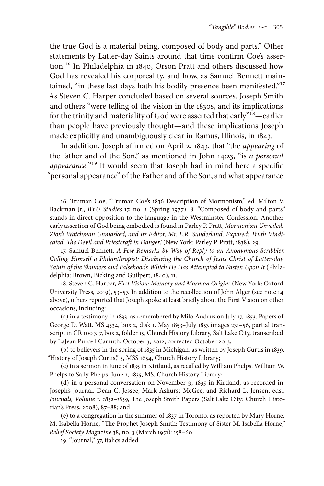the true God is a material being, composed of body and parts." Other statements by Latter-day Saints around that time confirm Coe's assertion.16 In Philadelphia in 1840, Orson Pratt and others discussed how God has revealed his corporeality, and how, as Samuel Bennett maintained, "in these last days hath his bodily presence been manifested."<sup>17</sup> As Steven C. Harper concluded based on several sources, Joseph Smith and others "were telling of the vision in the 1830s, and its implications for the trinity and materiality of God were asserted that early"18—earlier than people have previously thought—and these implications Joseph made explicitly and unambiguously clear in Ramus, Illinois, in 1843.

In addition, Joseph affirmed on April 2, 1843, that "the *appearing* of the father and of the Son," as mentioned in John 14:23, "is *a personal appearance.*"19 It would seem that Joseph had in mind here a specific "personal appearance" of the Father and of the Son, and what appearance

18. Steven C. Harper, *First Vision: Memory and Mormon Origins* (New York: Oxford University Press, 2019), 53–57. In addition to the recollection of John Alger (see note 14 above), others reported that Joseph spoke at least briefly about the First Vision on other occasions, including:

(a) in a testimony in 1833, as remembered by Milo Andrus on July 17, 1853. Papers of George D. Watt. MS 4534, box 2, disk 1. May 1853–July 1853 images 231–56, partial transcript in CR 100 317, box 2, folder 15, Church History Library, Salt Lake City, transcribed by LaJean Purcell Carruth, October 3, 2012, corrected October 2013;

(b) to believers in the spring of 1835 in Michigan, as written by Joseph Curtis in 1839. "History of Joseph Curtis," 5, MSS 1654, Church History Library;

(c) in a sermon in June of 1835 in Kirtland, as recalled by William Phelps. William W. Phelps to Sally Phelps, June 2, 1835, MS, Church History Library;

(d) in a personal conversation on November 9, 1835 in Kirtland, as recorded in Joseph's journal. Dean C. Jessee, Mark Ashurst-McGee, and Richard L. Jensen, eds., *Journals, Volume 1: 1832–1839,* The Joseph Smith Papers (Salt Lake City: Church Historian's Press, 2008), 87–88; and

(e) to a congregation in the summer of 1837 in Toronto, as reported by Mary Horne. M. Isabella Horne, "The Prophet Joseph Smith: Testimony of Sister M. Isabella Horne," *Relief Society Magazine* 38, no. 3 (March 1951): 158–60.

19. "Journal," 37, italics added.

<sup>16.</sup> Truman Coe, "Truman Coe's 1836 Description of Mormonism," ed. Milton V. Backman Jr., *BYU Studies* 17, no. 3 (Spring 1977): 8. "Composed of body and parts" stands in direct opposition to the language in the Westminster Confession. Another early assertion of God being embodied is found in Parley P. Pratt, *Mormonism Unveiled: Zion's Watchman Unmasked, and Its Editor, Mr. L.R. Sunderland, Exposed: Truth Vindicated: The Devil and Priestcraft in Danger!* (New York: Parley P. Pratt, 1838), 29.

<sup>17.</sup> Samuel Bennett, *A Few Remarks by Way of Reply to an Anonymous Scribbler, Calling Himself a Philanthropist: Disabusing the Church of Jesus Christ of Latter-day Saints of the Slanders and Falsehoods Which He Has Attempted to Fasten Upon It* (Philadelphia: Brown, Bicking and Guilpert, 1840), 11.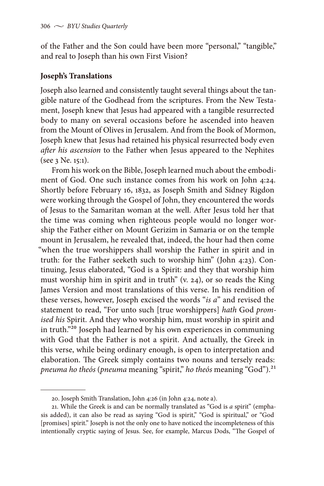of the Father and the Son could have been more "personal," "tangible," and real to Joseph than his own First Vision?

## **Joseph's Translations**

Joseph also learned and consistently taught several things about the tangible nature of the Godhead from the scriptures. From the New Testament, Joseph knew that Jesus had appeared with a tangible resurrected body to many on several occasions before he ascended into heaven from the Mount of Olives in Jerusalem. And from the Book of Mormon, Joseph knew that Jesus had retained his physical resurrected body even *after his ascension* to the Father when Jesus appeared to the Nephites (see 3 Ne. 15:1).

From his work on the Bible, Joseph learned much about the embodiment of God. One such instance comes from his work on John 4:24. Shortly before February 16, 1832, as Joseph Smith and Sidney Rigdon were working through the Gospel of John, they encountered the words of Jesus to the Samaritan woman at the well. After Jesus told her that the time was coming when righteous people would no longer worship the Father either on Mount Gerizim in Samaria or on the temple mount in Jerusalem, he revealed that, indeed, the hour had then come "when the true worshippers shall worship the Father in spirit and in truth: for the Father seeketh such to worship him" (John 4:23). Continuing, Jesus elaborated, "God is a Spirit: and they that worship him must worship him in spirit and in truth" (v. 24), or so reads the King James Version and most translations of this verse. In his rendition of these verses, however, Joseph excised the words "*is a*" and revised the statement to read, "For unto such [true worshippers] *hath* God *promised his* Spirit. And they who worship him, must worship in spirit and in truth."20 Joseph had learned by his own experiences in communing with God that the Father is not a spirit. And actually, the Greek in this verse, while being ordinary enough, is open to interpretation and elaboration. The Greek simply contains two nouns and tersely reads: *pneuma ho theós* (*pneuma* meaning "spirit," *ho theós* meaning "God").21

<sup>20.</sup> Joseph Smith Translation, John 4:26 (in John 4:24, note a).

<sup>21.</sup> While the Greek is and can be normally translated as "God is *a* spirit" (emphasis added), it can also be read as saying "God is spirit," "God is spiritual," or "God [promises] spirit." Joseph is not the only one to have noticed the incompleteness of this intentionally cryptic saying of Jesus. See, for example, Marcus Dods, "The Gospel of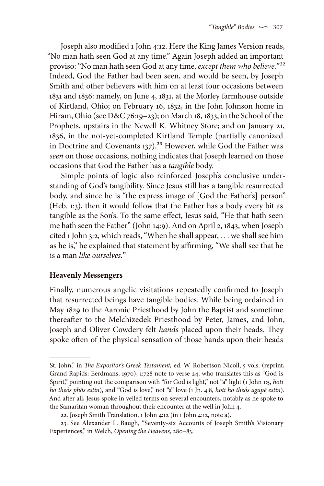Joseph also modified 1 John 4:12. Here the King James Version reads, "No man hath seen God at any time." Again Joseph added an important proviso: "No man hath seen God at any time, *except them who believe.*"22 Indeed, God the Father had been seen, and would be seen, by Joseph Smith and other believers with him on at least four occasions between 1831 and 1836: namely, on June 4, 1831, at the Morley farmhouse outside of Kirtland, Ohio; on February 16, 1832, in the John Johnson home in Hiram, Ohio (see D&C 76:19–23); on March 18, 1833, in the School of the Prophets, upstairs in the Newell K. Whitney Store; and on January 21, 1836, in the not-yet-completed Kirtland Temple (partially canonized in Doctrine and Covenants  $137$ ).<sup>23</sup> However, while God the Father was *seen* on those occasions, nothing indicates that Joseph learned on those occasions that God the Father has a *tangible* body.

Simple points of logic also reinforced Joseph's conclusive understanding of God's tangibility. Since Jesus still has a tangible resurrected body, and since he is "the express image of [God the Father's] person" (Heb. 1:3), then it would follow that the Father has a body every bit as tangible as the Son's. To the same effect, Jesus said, "He that hath seen me hath seen the Father" (John 14:9). And on April 2, 1843, when Joseph cited 1 John 3:2, which reads, "When he shall appear, . . . we shall see him as he is," he explained that statement by affirming, "We shall see that he is a man *like ourselves.*"

## **Heavenly Messengers**

Finally, numerous angelic visitations repeatedly confirmed to Joseph that resurrected beings have tangible bodies. While being ordained in May 1829 to the Aaronic Priesthood by John the Baptist and sometime thereafter to the Melchizedek Priesthood by Peter, James, and John, Joseph and Oliver Cowdery felt *hands* placed upon their heads. They spoke often of the physical sensation of those hands upon their heads

St. John," in *The Expositor's Greek Testament,* ed. W. Robertson Nicoll, 5 vols. (reprint, Grand Rapids: Eerdmans, 1970), 1:728 note to verse 24, who translates this as "God is Spirit," pointing out the comparison with "for God is light," not "a" light (1 John 1:5, *hoti ho theós phōs estin*), and "God is love," not "a" love (1 Jn. 4:8, *hoti ho theós agapē estin*). And after all, Jesus spoke in veiled terms on several encounters, notably as he spoke to the Samaritan woman throughout their encounter at the well in John 4.

<sup>22.</sup> Joseph Smith Translation, 1 John 4:12 (in 1 John 4:12, note a).

<sup>23.</sup> See Alexander L. Baugh, "Seventy-six Accounts of Joseph Smith's Visionary Experiences," in Welch, *Opening the Heavens,* 280–83.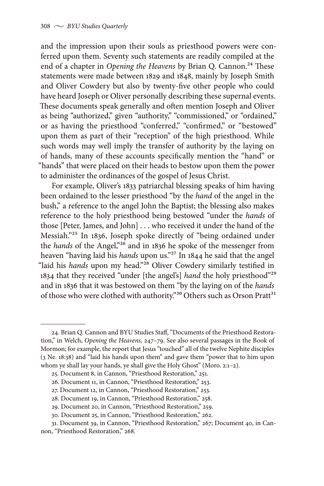and the impression upon their souls as priesthood powers were conferred upon them. Seventy such statements are readily compiled at the end of a chapter in *Opening the Heavens* by Brian Q. Cannon.<sup>24</sup> These statements were made between 1829 and 1848, mainly by Joseph Smith and Oliver Cowdery but also by twenty-five other people who could have heard Joseph or Oliver personally describing these supernal events. These documents speak generally and often mention Joseph and Oliver as being "authorized," given "authority," "commissioned," or "ordained," or as having the priesthood "conferred," "confirmed," or "bestowed" upon them as part of their "reception" of the high priesthood. While such words may well imply the transfer of authority by the laying on of hands, many of these accounts specifically mention the "hand" or "hands" that were placed on their heads to bestow upon them the power to administer the ordinances of the gospel of Jesus Christ.

For example, Oliver's 1833 patriarchal blessing speaks of him having been ordained to the lesser priesthood "by the *hand* of the angel in the bush," a reference to the angel John the Baptist; the blessing also makes reference to the holy priesthood being bestowed "under the *hands* of those [Peter, James, and John] . . . who received it under the hand of the Messiah."25 In 1836, Joseph spoke directly of "being ordained under the *hands* of the Angel,"26 and in 1836 he spoke of the messenger from heaven "having laid his *hands* upon us."27 In 1844 he said that the angel "laid his *hands* upon my head."28 Oliver Cowdery similarly testified in 1834 that they received "under [the angel's] *hand* the holy priesthood"29 and in 1836 that it was bestowed on them "by the laying on of the *hands*  of those who were clothed with authority."<sup>30</sup> Others such as Orson Pratt<sup>31</sup>

<sup>24.</sup> Brian Q. Cannon and BYU Studies Staff, "Documents of the Priesthood Restoration," in Welch, *Opening the Heavens,* 247–79. See also several passages in the Book of Mormon; for example, the report that Jesus "touched" all of the twelve Nephite disciples (3 Ne. 18:38) and "laid his hands upon them" and gave them "power that to him upon whom ye shall lay your hands, ye shall give the Holy Ghost" (Moro. 2:1-2).

<sup>25.</sup> Document 8, in Cannon, "Priesthood Restoration," 251.

<sup>26.</sup> Document 11, in Cannon, "Priesthood Restoration," 253.

<sup>27.</sup> Document 12, in Cannon, "Priesthood Restoration," 253.

<sup>28.</sup> Document 19, in Cannon, "Priesthood Restoration," 258.

<sup>29.</sup> Document 20, in Cannon, "Priesthood Restoration," 259.

<sup>30.</sup> Document 25, in Cannon, "Priesthood Restoration," 262.

<sup>31.</sup> Document 39, in Cannon, "Priesthood Restoration," 267; Document 40, in Cannon, "Priesthood Restoration," 268.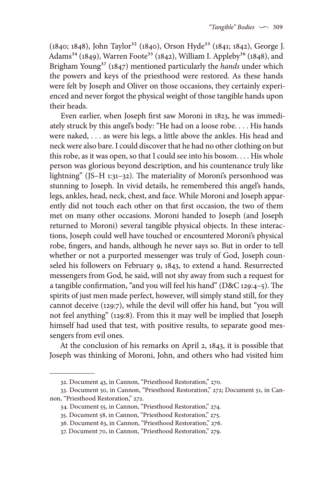(1840; 1848), John Taylor<sup>32</sup> (1840), Orson Hyde<sup>33</sup> (1841; 1842), George J. Adams<sup>34</sup> (1849), Warren Foote<sup>35</sup> (1842), William I. Appleby<sup>36</sup> (1848), and Brigham Young<sup>37</sup> (1847) mentioned particularly the *hands* under which the powers and keys of the priesthood were restored. As these hands were felt by Joseph and Oliver on those occasions, they certainly experienced and never forgot the physical weight of those tangible hands upon their heads.

Even earlier, when Joseph first saw Moroni in 1823, he was immediately struck by this angel's body: "He had on a loose robe. . . . His hands were naked, . . . as were his legs, a little above the ankles. His head and neck were also bare. I could discover that he had no other clothing on but this robe, as it was open, so that I could see into his bosom. . . . His whole person was glorious beyond description, and his countenance truly like lightning" (JS–H 1:31–32). The materiality of Moroni's personhood was stunning to Joseph. In vivid details, he remembered this angel's hands, legs, ankles, head, neck, chest, and face. While Moroni and Joseph apparently did not touch each other on that first occasion, the two of them met on many other occasions. Moroni handed to Joseph (and Joseph returned to Moroni) several tangible physical objects. In these interactions, Joseph could well have touched or encountered Moroni's physical robe, fingers, and hands, although he never says so. But in order to tell whether or not a purported messenger was truly of God, Joseph counseled his followers on February 9, 1843, to extend a hand. Resurrected messengers from God, he said, will not shy away from such a request for a tangible confirmation, "and you will feel his hand" (D&C 129:4–5). The spirits of just men made perfect, however, will simply stand still, for they cannot deceive (129:7), while the devil will offer his hand, but "you will not feel anything" (129:8). From this it may well be implied that Joseph himself had used that test, with positive results, to separate good messengers from evil ones.

At the conclusion of his remarks on April 2, 1843, it is possible that Joseph was thinking of Moroni, John, and others who had visited him

<sup>32.</sup> Document 43, in Cannon, "Priesthood Restoration," 270.

<sup>33.</sup> Document 50, in Cannon, "Priesthood Restoration," 272; Document 51, in Cannon, "Priesthood Restoration," 272.

<sup>34.</sup> Document 55, in Cannon, "Priesthood Restoration," 274.

<sup>35.</sup> Document 58, in Cannon, "Priesthood Restoration," 275.

<sup>36.</sup> Document 63, in Cannon, "Priesthood Restoration," 276.

<sup>37.</sup> Document 70, in Cannon, "Priesthood Restoration," 279.